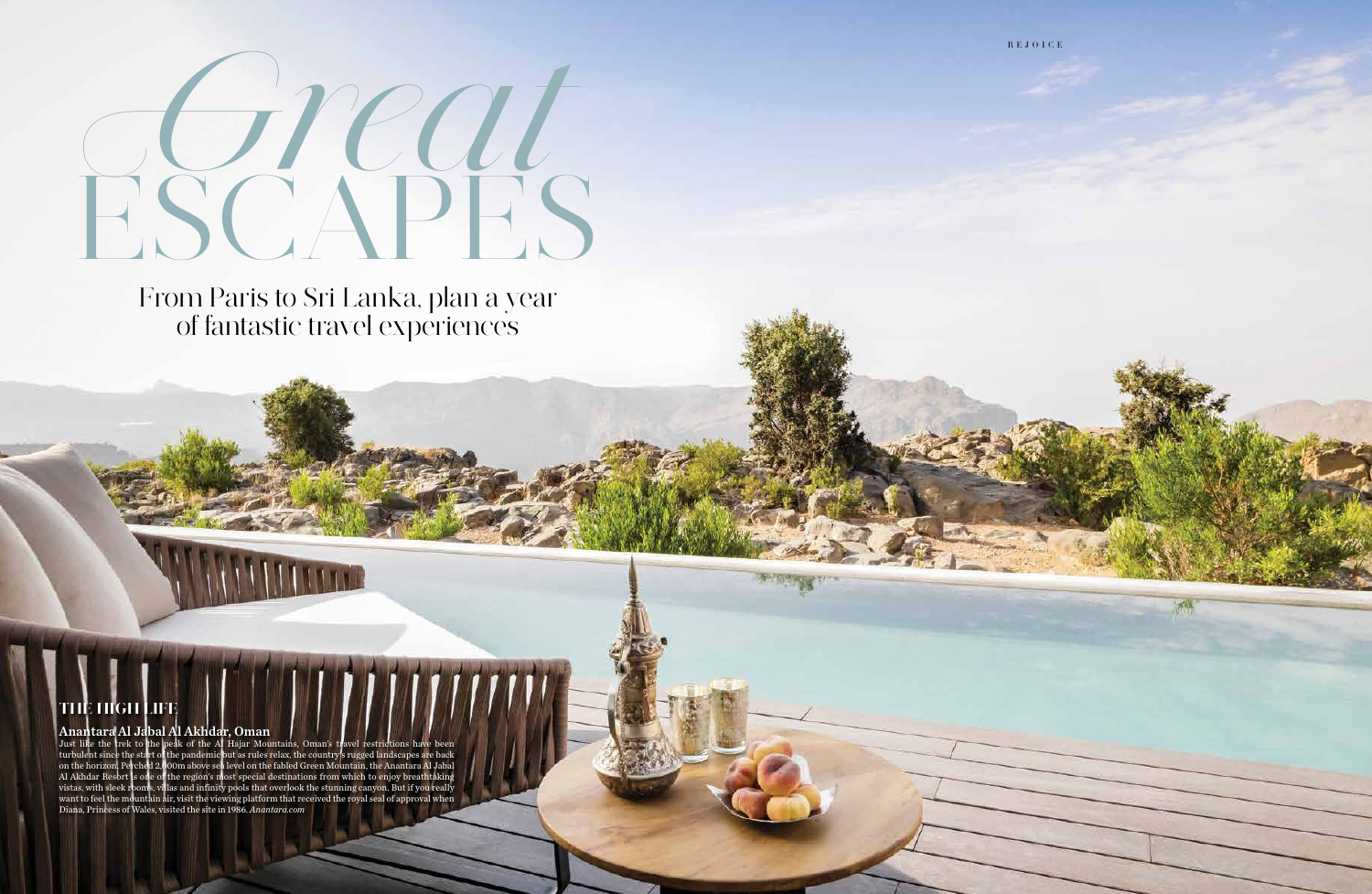# ESCAPES Great

From Paris to Sri Lanka, plan a year of fantastic travel experiences

# THE HIGH LIFE

### Anantara Al Jabal Al Akhdar, Oman

Just like the trek to the peak of the Al Hajar Mountains, Oman's travel restrictions have been turbulent since the start of the pandemic but as rules relax, the country's rugged landscapes are back on the horizon. Perched 2,000m above sea level on the fabled Green Mountain, the Anantara Al Jabal Al Akhdar Resort is one of the region's most special destinations from which to enjoy breathtaking vistas, with sleek rooms, villas and infinity pools that overlook the stunning canyon. But if you really want to feel the mountain air, visit the viewing platform that received the royal seal of approval when Diana, Princess of Wales, visited the site in 1986. *Anantara.com* 



水平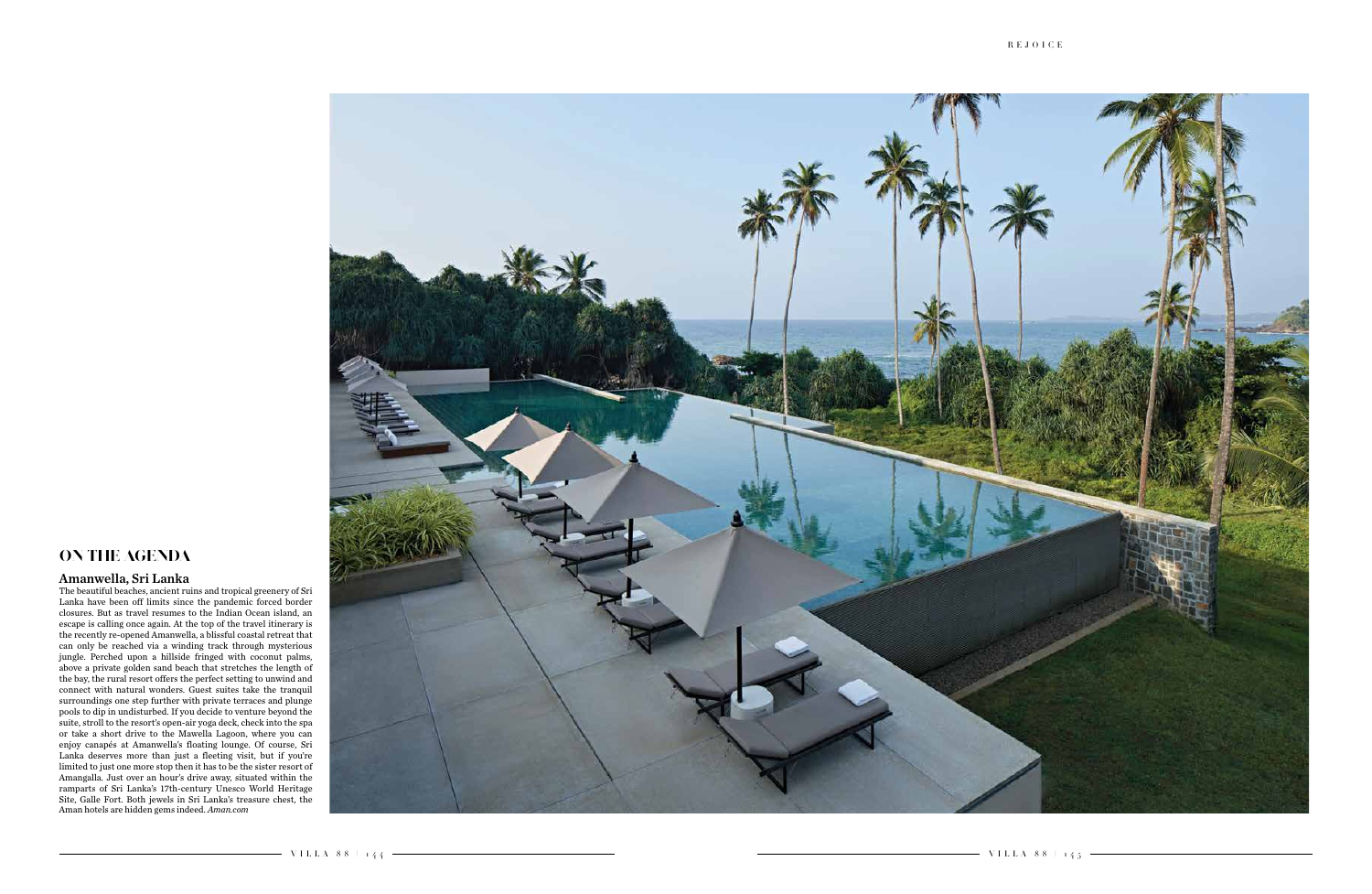

#### Amanwella, Sri Lanka

The beautiful beaches, ancient ruins and tropical greenery of Sri Lanka have been off limits since the pandemic forced border closures. But as travel resumes to the Indian Ocean island, an escape is calling once again. At the top of the travel itinerary is the recently re-opened Amanwella, a blissful coastal retreat that can only be reached via a winding track through mysterious jungle. Perched upon a hillside fringed with coconut palms, above a private golden sand beach that stretches the length of the bay, the rural resort offers the perfect setting to unwind and connect with natural wonders. Guest suites take the tranquil surroundings one step further with private terraces and plunge pools to dip in undisturbed. If you decide to venture beyond the suite, stroll to the resort's open-air yoga deck, check into the spa or take a short drive to the Mawella Lagoon, where you can enjoy canapés at Amanwella's floating lounge. Of course, Sri Lanka deserves more than just a fleeting visit, but if you're limited to just one more stop then it has to be the sister resort of Amangalla. Just over an hour's drive away, situated within the ramparts of Sri Lanka's 17th-century Unesco World Heritage Site, Galle Fort. Both jewels in Sri Lanka's treasure chest, the Aman hotels are hidden gems indeed. *Aman.com* 

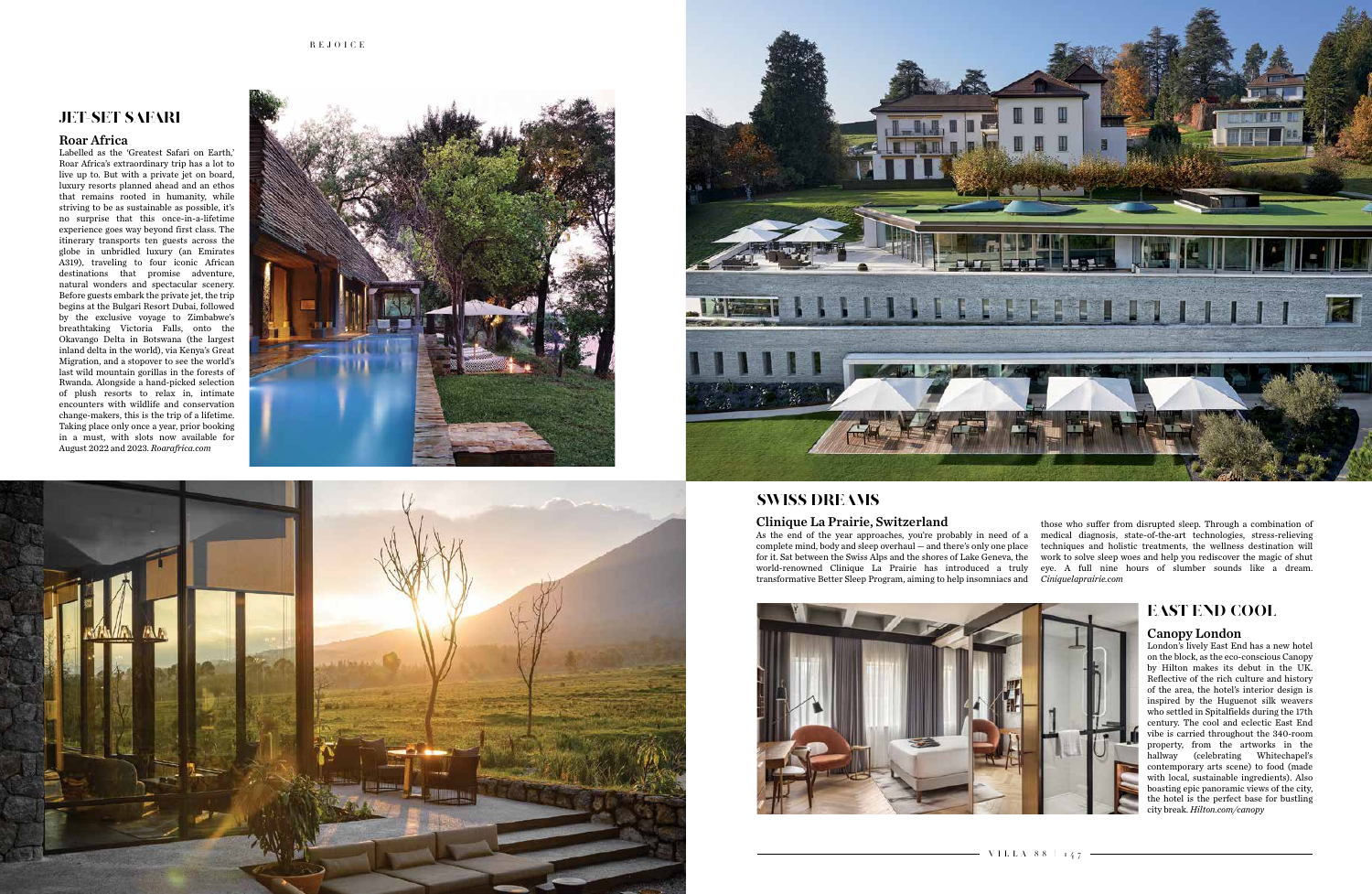# JET-SET SAFARI

#### Roar Africa

Labelled as the 'Greatest Safari on Earth,' Roar Africa's extraordinary trip has a lot to live up to. But with a private jet on board, luxury resorts planned ahead and an ethos that remains rooted in humanity, while striving to be as sustainable as possible, it's no surprise that this once-in-a-lifetime experience goes way beyond first class. The itinerary transports ten guests across the globe in unbridled luxury (an Emirates A319), traveling to four iconic African destinations that promise adventure, natural wonders and spectacular scenery. Before guests embark the private jet, the trip begins at the Bulgari Resort Dubai, followed by the exclusive voyage to Zimbabwe's breathtaking Victoria Falls, onto the Okavango Delta in Botswana (the largest inland delta in the world), via Kenya's Great Migration, and a stopover to see the world's last wild mountain gorillas in the forests of Rwanda. Alongside a hand-picked selection of plush resorts to relax in, intimate encounters with wildlife and conservation change-makers, this is the trip of a lifetime. Taking place only once a year, prior booking in a must, with slots now available for August 2022 and 2023. *Roarafrica.com* 







# SWISS DREAMS

As the end of the year approaches, you're probably in need of a complete mind, body and sleep overhaul — and there's only one place for it. Sat between the Swiss Alps and the shores of Lake Geneva, the world-renowned Clinique La Prairie has introduced a truly transformative Better Sleep Program, aiming to help insomniacs and those who suffer from disrupted sleep. Through a combination of medical diagnosis, state-of-the-art technologies, stress-relieving techniques and holistic treatments, the wellness destination will work to solve sleep woes and help you rediscover the magic of shut eye. A full nine hours of slumber sounds like a dream. *Ciniquelaprairie.com*



# EAST END COOL

## Canopy London

London's lively East End has a new hotel on the block, as the eco-conscious Canopy by Hilton makes its debut in the UK. Reflective of the rich culture and history of the area, the hotel's interior design is inspired by the Huguenot silk weavers who settled in Spitalfields during the 17th century. The cool and eclectic East End vibe is carried throughout the 340-room property, from the artworks in the hallway (celebrating Whitechapel's contemporary arts scene) to food (made with local, sustainable ingredients). Also boasting epic panoramic views of the city, the hotel is the perfect base for bustling city break. *Hilton.com/canopy* 

#### Clinique La Prairie, Switzerland